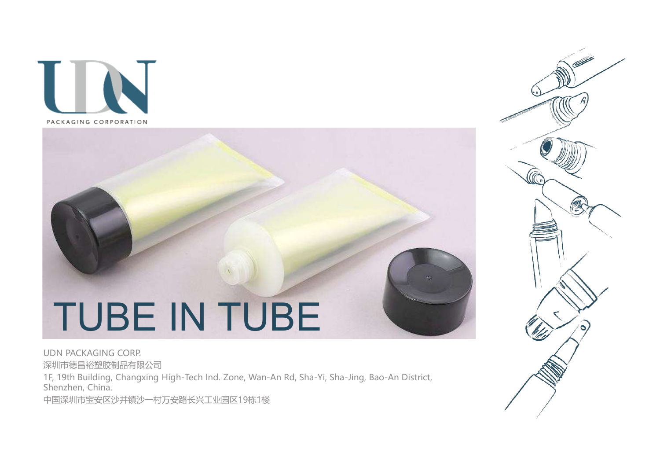

# TUBE IN TUBE TUBE IN TUBE<br> **IDA PACKAGING CORP.**<br>
ELECTRICITY CORP.<br>
ELECTRICITY CORPATION OF THE CHANGE CORP.<br>
Shenzhen, China, Changxing High-Tech Ind. Zone, Wan-An Rd, Sha-Yi, Sha-Jing, Bao-An District,<br>
PERWIND EXECTRICTY TO SHEKX

UDN PACKAGING CORP. 深圳市德昌裕塑胶制品有限公司 Shenzhen, China.

中国深圳市宝安区沙井镇沙一村万安路长兴工业园区19栋1楼

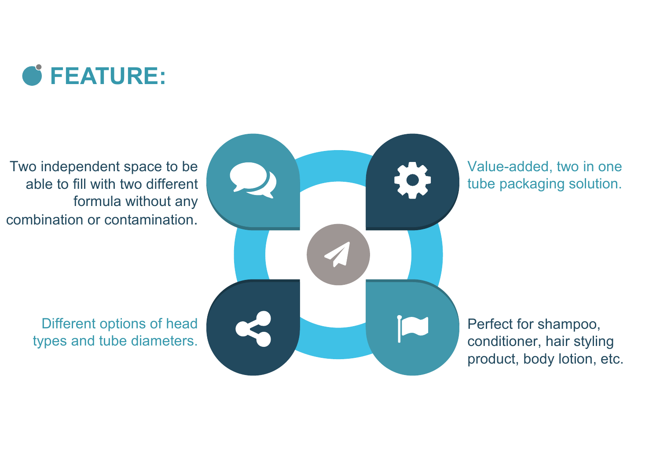

Two independent space to be able to fill with two different formula without any combination or contamination.

 $\bullet$ 

Value-added, two in one tube packaging solution.

Perfect for shampoo, conditioner, hair styling product, body lotion, etc.

Different options of head types and tube diameters.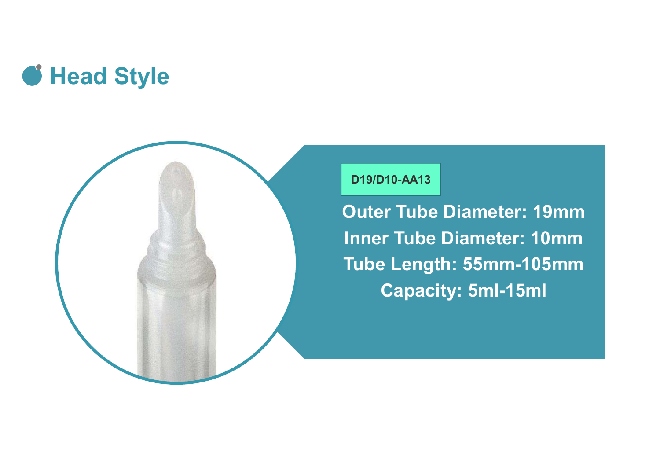



#### D19/D10-AA13

D19/D10-AA13<br>Duter Tube Diameter: 19mm<br>Inner Tube Diameter: 10mm<br>Tube Length: 55mm-105mm Inner Tube Diameter: 10mm Tube Length: 55mm-105mm Capacity: 5ml-15ml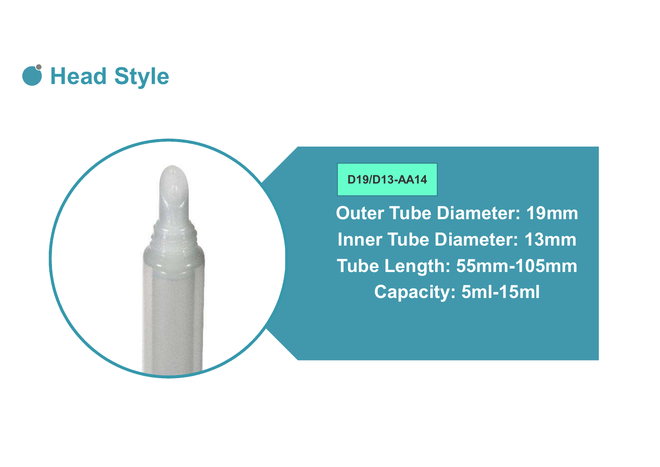



#### D19/D13-AA14

D19/D13-AA14<br>Outer Tube Diameter: 19mm<br>Inner Tube Diameter: 13mm<br>Tube Length: 55mm-105mm Inner Tube Diameter: 13mm Tube Length: 55mm-105mm Capacity: 5ml-15ml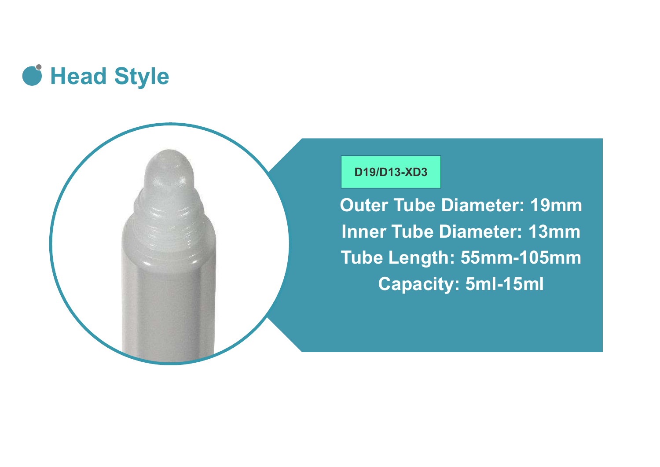



#### D19/D13-XD3

D<sub>19/D13-XD3</sub><br>Outer Tube Diameter: 19mm<br>Inner Tube Diameter: 13mm<br>Tube Length: 55mm-105mm Inner Tube Diameter: 13mm Tube Length: 55mm-105mm Capacity: 5ml-15ml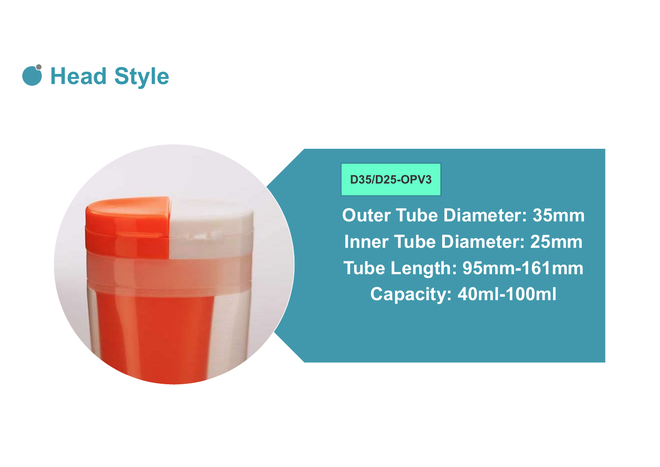## **G** Head Style



D35/D25-OPV3<br>Duter Tube Diameter: 35mm<br>Inner Tube Diameter: 25mm<br>Tube Length: 95mm-161mm Inner Tube Diameter: 25mm Tube Length: 95mm-161mm Capacity: 40ml-100ml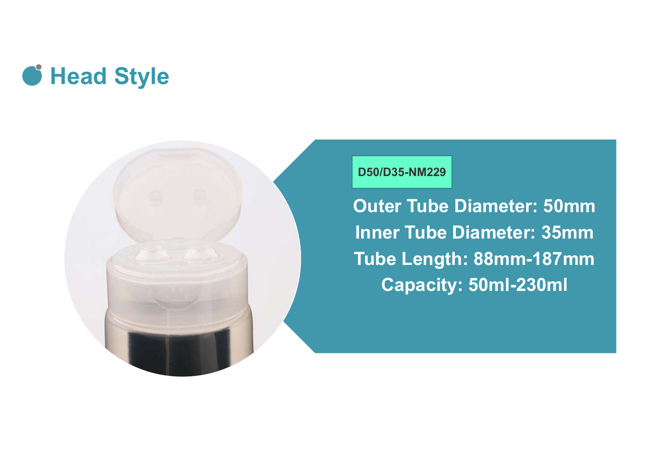### **G** Head Style



#### D50/D35-NM229

D50/D35-NM229<br>
Duter Tube Diameter: 50mm<br>
Inner Tube Diameter: 35mm<br>
Tube Length: 88mm-187mm Inner Tube Diameter: 35mm Tube Length: 88mm-187mm Capacity: 50ml-230ml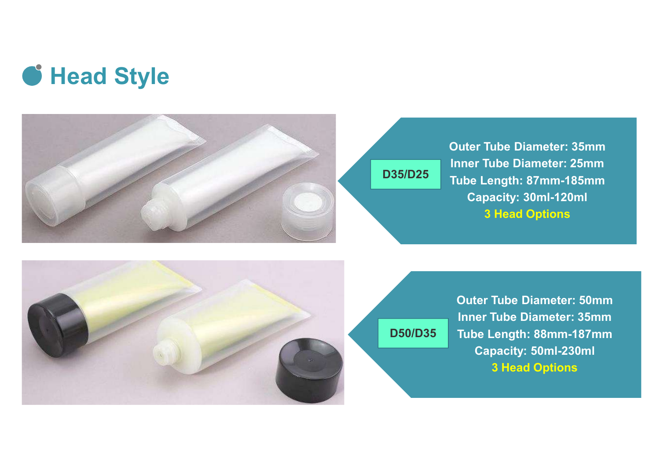



**Outer Tube Diameter: 35mm<br>Inner Tube Diameter: 25mm<br>Tube Length: 87mm-185mm<br>Canacity: 30ml-120ml** Inner Tube Diameter: 25mm Tube Length: 87mm-185mm D35/D25 Capacity: 30ml-120ml 3 Head Options uter Tube Diameter: 35mm<br>
iner Tube Diameter: 25mm<br>
ube Length: 87mm-185mm<br>
Capacity: 30ml-120ml<br>
3 Head Options<br>
Outer Tube Diameter: 50mm<br>
Inner Tube Diameter: 35mm<br>
Tube Length: 88mm-187mm<br>
Capacity: 50ml-230ml



D50/D35

Inner Tube Diameter: 35mm Tube Length: 88mm-187mm Capacity: 50ml-230ml 3 Head Options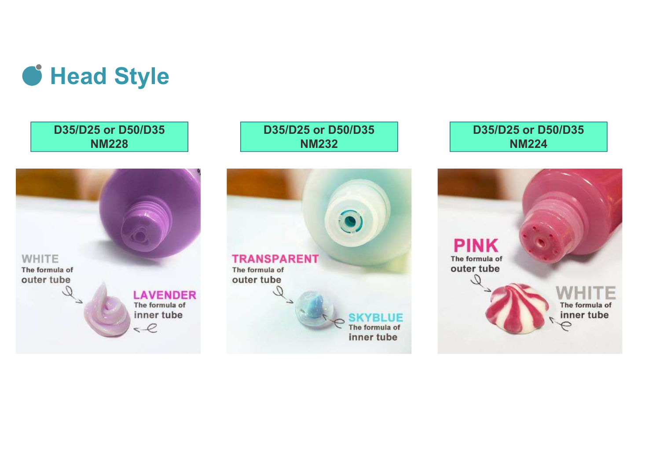

D35/D25 or D50/D35 NM228





D35/D25 or D50/D35 NM224

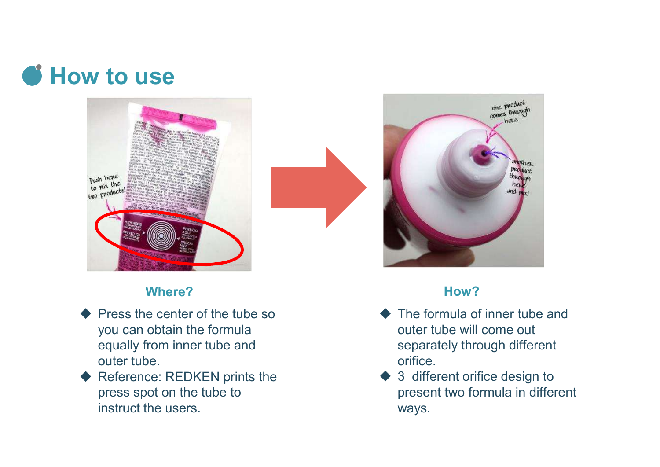# **C** How to use



#### Where? **How? How? How?**

- Press the center of the tube so you can obtain the formula equally from inner tube and outer tube.
- Reference: REDKEN prints the press spot on the tube to instruct the users.



- The formula of inner tube and outer tube will come out separately through different orifice.
- 3 different orifice design to present two formula in different ways.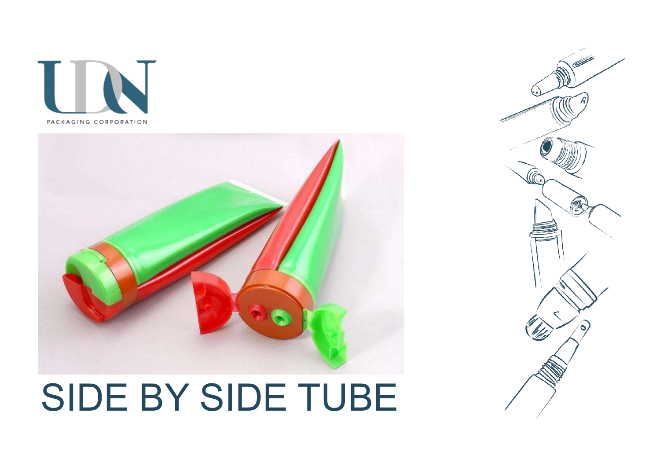



# SIDE BY SIDE TUBE

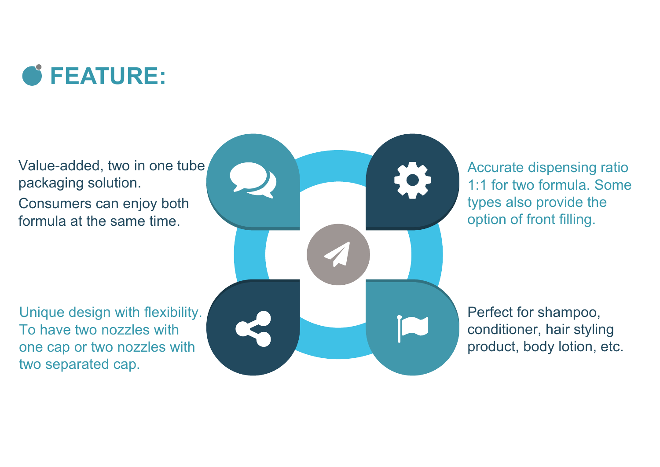

Value-added, two in one tube packaging solution. Consumers can enjoy both formula at the same time.

Unique design with flexibility. To have two nozzles with one cap or two nozzles with two separated cap.



Accurate dispensing ratio 1:1 for two formula. Some types also provide the option of front filling.

Perfect for shampoo, conditioner, hair styling product, body lotion, etc.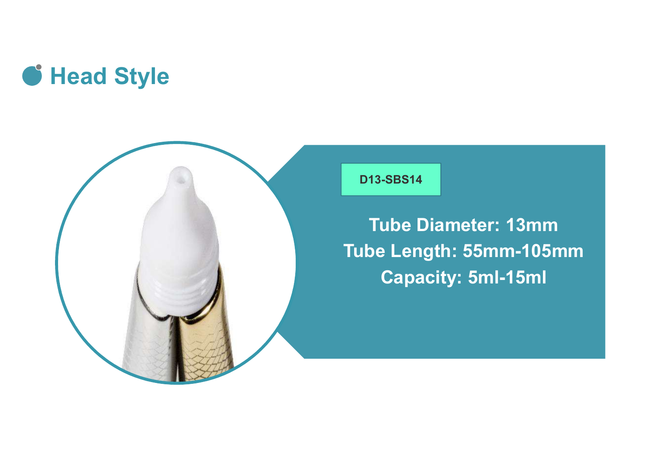



#### D13-SBS14

<sup>13-SBS14</sup><br>Tube Diameter: 13mm<br>De Length: 55mm-105mm<br>Canacity: 5ml-15ml Tube Length: 55mm-105mm Capacity: 5ml-15ml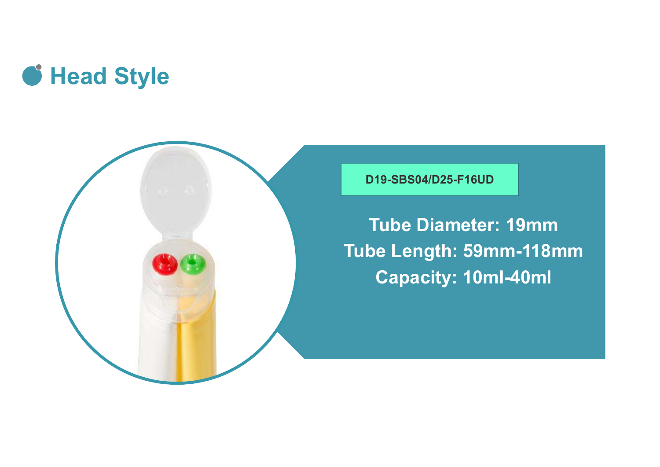



D19-SBS04/D25-F16UD

Tube Diameter: 19mm Tube Length: 59mm-118mm Capacity: 10ml-40ml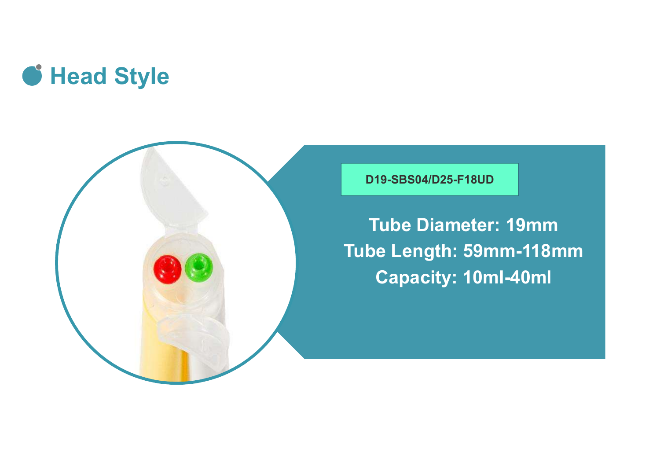



D19-SBS04/D25-F18UD

Tube Diameter: 19mm Tube Length: 59mm-118mm Capacity: 10ml-40ml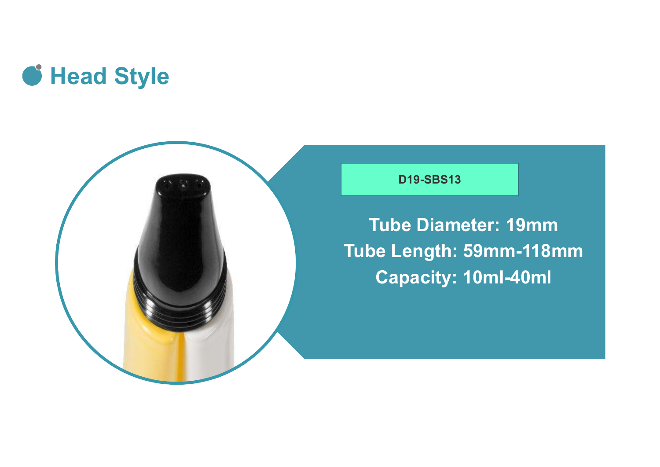



#### D19-SBS13

D19-SBS13<br>Tube Diameter: 19mm<br>De Length: 59mm-118mm<br>Canacity: 10mL40ml Tube Length: 59mm-118mm Capacity: 10ml-40ml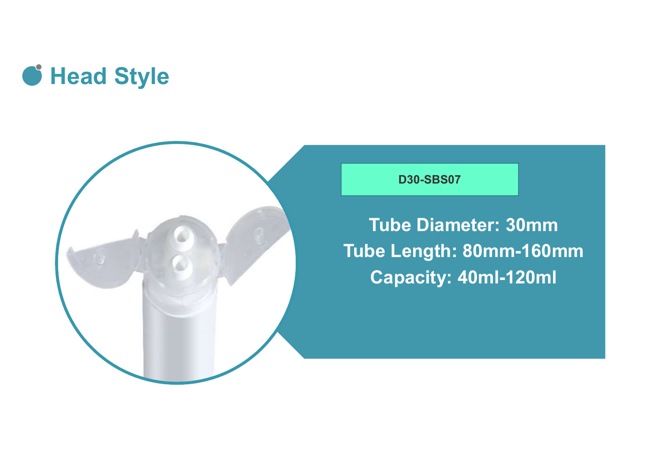



#### D30-SBS07

D30-SBS07<br>Tube Diameter: 30mm<br>De Length: 80mm-160mm<br>Canacity: 40mL-120ml Tube Length: 80mm-160mm Capacity: 40ml-120ml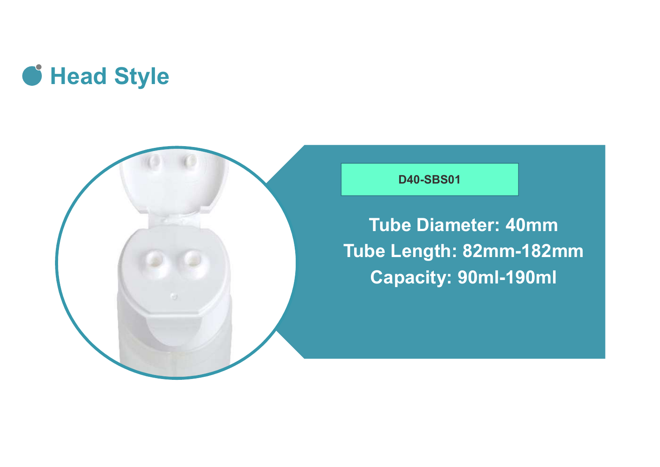



#### D40-SBS01

D40-SBS01<br>Tube Diameter: 40mm<br>De Length: 82mm-182mm<br>Canacity: 90mL-190ml Tube Length: 82mm-182mm Capacity: 90ml-190ml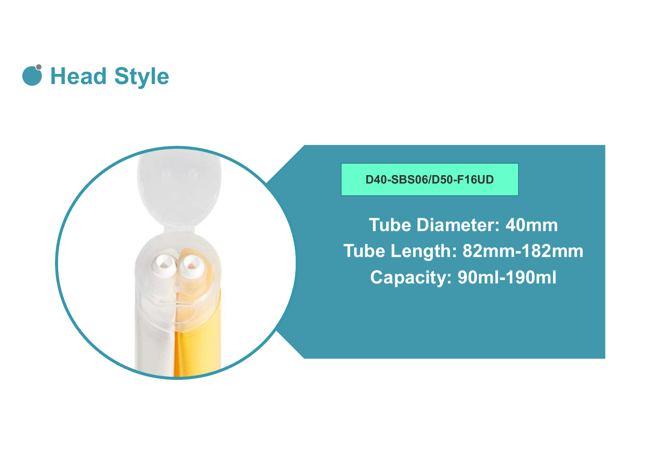



D40-SBS06/D50-F16UD

Tube Diameter: 40mm Tube Length: 82mm-182mm Capacity: 90ml-190ml